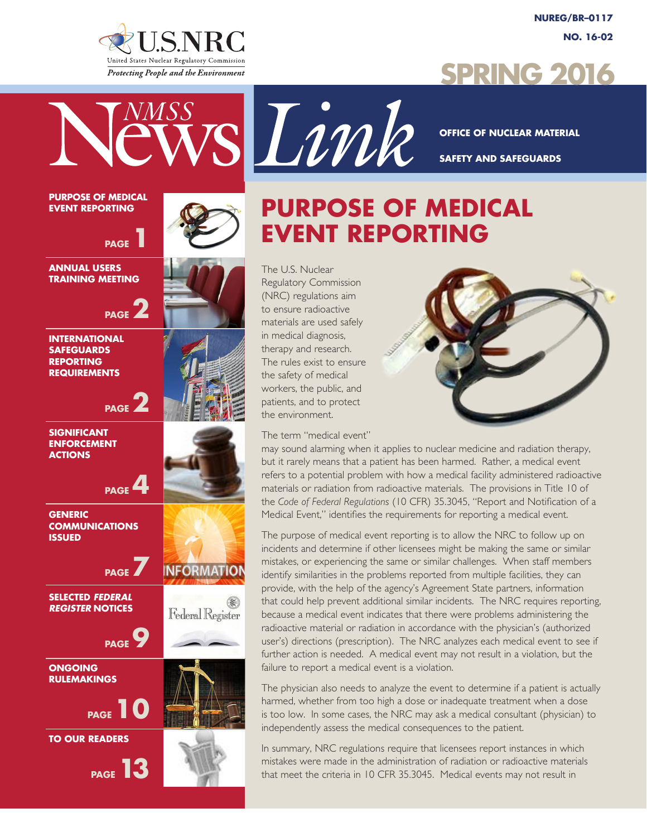

**PURPOSE OF MEDICAL EVENT REPORTING**

**NUREG/BR–0117 NO. 16-02**





**OFFICE OF NUCLEAR MATERIAL SAFETY AND SAFEGUARDS**

### **PURPOSE OF MEDICAL EVENT REPORTING**

The U.S. Nuclear Regulatory Commission (NRC) regulations aim to ensure radioactive materials are used safely in medical diagnosis, therapy and research. The rules exist to ensure the safety of medical workers, the public, and patients, and to protect the environment.

The term "medical event"

may sound alarming when it applies to nuclear medicine and radiation therapy, but it rarely means that a patient has been harmed. Rather, a medical event refers to a potential problem with how a medical facility administered radioactive materials or radiation from radioactive materials. The provisions in Title 10 of the *Code of Federal Regulations* (10 CFR) 35.3045, "Report and Notification of a Medical Event," identifies the requirements for reporting a medical event.

The purpose of medical event reporting is to allow the NRC to follow up on incidents and determine if other licensees might be making the same or similar mistakes, or experiencing the same or similar challenges. When staff members identify similarities in the problems reported from multiple facilities, they can provide, with the help of the agency's Agreement State partners, information that could help prevent additional similar incidents. The NRC requires reporting, because a medical event indicates that there were problems administering the radioactive material or radiation in accordance with the physician's (authorized user's) directions (prescription). The NRC analyzes each medical event to see if further action is needed. A medical event may not result in a violation, but the failure to report a medical event is a violation.

The physician also needs to analyze the event to determine if a patient is actually harmed, whether from too high a dose or inadequate treatment when a dose is too low. In some cases, the NRC may ask a medical consultant (physician) to independently assess the medical consequences to the patient.

In summary, NRC regulations require that licensees report instances in which mistakes were made in the administration of radiation or radioactive materials that meet the criteria in 10 CFR 35.3045. Medical events may not result in

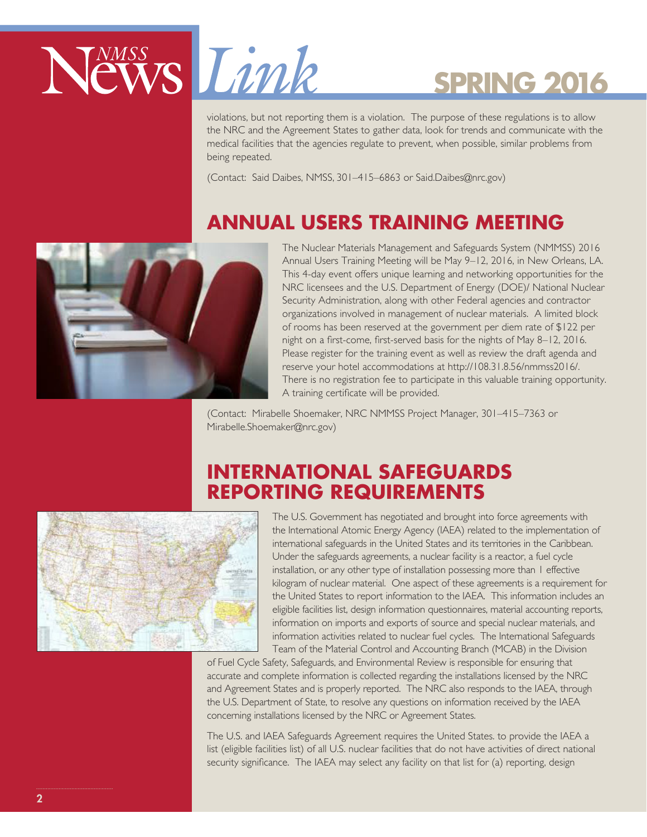

violations, but not reporting them is a violation. The purpose of these regulations is to allow the NRC and the Agreement States to gather data, look for trends and communicate with the medical facilities that the agencies regulate to prevent, when possible, similar problems from being repeated.

(Contact: Said Daibes, NMSS, 301–415–6863 or Said.Daibes@nrc.gov)

### **ANNUAL USERS TRAINING MEETING**



The Nuclear Materials Management and Safeguards System (NMMSS) 2016 Annual Users Training Meeting will be May 9–12, 2016, in New Orleans, LA. This 4-day event offers unique learning and networking opportunities for the NRC licensees and the U.S. Department of Energy (DOE)/ National Nuclear Security Administration, along with other Federal agencies and contractor organizations involved in management of nuclear materials. A limited block of rooms has been reserved at the government per diem rate of \$122 per night on a first-come, first-served basis for the nights of May 8–12, 2016. Please register for the training event as well as review the draft agenda and reserve your hotel accommodations at http://108.31.8.56/nmmss2016/. There is no registration fee to participate in this valuable training opportunity. A training certificate will be provided.

(Contact: Mirabelle Shoemaker, NRC NMMSS Project Manager, 301–415–7363 or Mirabelle.Shoemaker@nrc.gov)

### **INTERNATIONAL SAFEGUARDS REPORTING REQUIREMENTS**



The U.S. Government has negotiated and brought into force agreements with the International Atomic Energy Agency (IAEA) related to the implementation of international safeguards in the United States and its territories in the Caribbean. Under the safeguards agreements, a nuclear facility is a reactor, a fuel cycle installation, or any other type of installation possessing more than 1 effective kilogram of nuclear material. One aspect of these agreements is a requirement for the United States to report information to the IAEA. This information includes an eligible facilities list, design information questionnaires, material accounting reports, information on imports and exports of source and special nuclear materials, and information activities related to nuclear fuel cycles. The International Safeguards Team of the Material Control and Accounting Branch (MCAB) in the Division

of Fuel Cycle Safety, Safeguards, and Environmental Review is responsible for ensuring that accurate and complete information is collected regarding the installations licensed by the NRC and Agreement States and is properly reported. The NRC also responds to the IAEA, through the U.S. Department of State, to resolve any questions on information received by the IAEA concerning installations licensed by the NRC or Agreement States.

The U.S. and IAEA Safeguards Agreement requires the United States. to provide the IAEA a list (eligible facilities list) of all U.S. nuclear facilities that do not have activities of direct national security significance. The IAEA may select any facility on that list for (a) reporting, design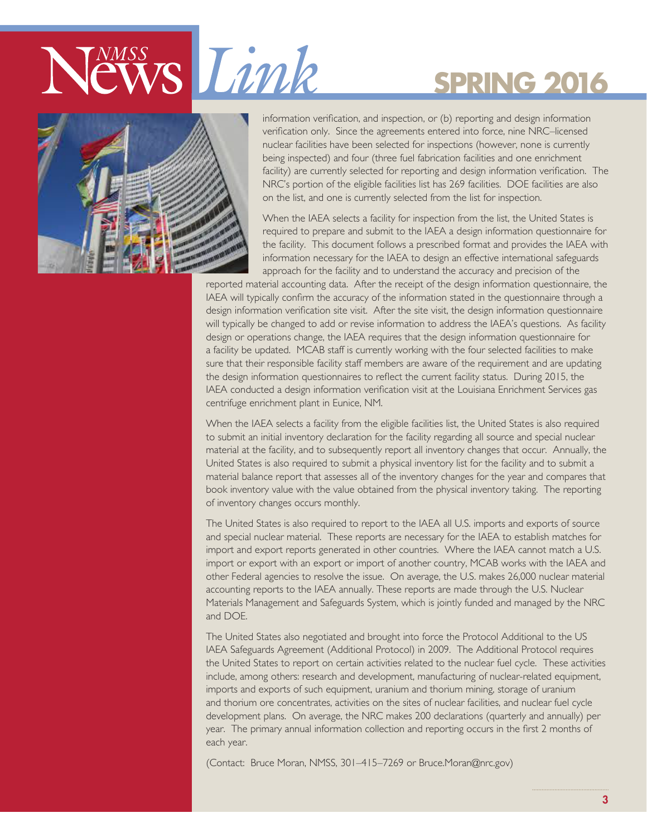# News Limk

# **SPRING 2016**



information verification, and inspection, or (b) reporting and design information verification only. Since the agreements entered into force, nine NRC–licensed nuclear facilities have been selected for inspections (however, none is currently being inspected) and four (three fuel fabrication facilities and one enrichment facility) are currently selected for reporting and design information verification. The NRC's portion of the eligible facilities list has 269 facilities. DOE facilities are also on the list, and one is currently selected from the list for inspection.

When the IAEA selects a facility for inspection from the list, the United States is required to prepare and submit to the IAEA a design information questionnaire for the facility. This document follows a prescribed format and provides the IAEA with information necessary for the IAEA to design an effective international safeguards approach for the facility and to understand the accuracy and precision of the

reported material accounting data. After the receipt of the design information questionnaire, the IAEA will typically confirm the accuracy of the information stated in the questionnaire through a design information verification site visit. After the site visit, the design information questionnaire will typically be changed to add or revise information to address the IAEA's questions. As facility design or operations change, the IAEA requires that the design information questionnaire for a facility be updated. MCAB staff is currently working with the four selected facilities to make sure that their responsible facility staff members are aware of the requirement and are updating the design information questionnaires to reflect the current facility status. During 2015, the IAEA conducted a design information verification visit at the Louisiana Enrichment Services gas centrifuge enrichment plant in Eunice, NM.

When the IAEA selects a facility from the eligible facilities list, the United States is also required to submit an initial inventory declaration for the facility regarding all source and special nuclear material at the facility, and to subsequently report all inventory changes that occur. Annually, the United States is also required to submit a physical inventory list for the facility and to submit a material balance report that assesses all of the inventory changes for the year and compares that book inventory value with the value obtained from the physical inventory taking. The reporting of inventory changes occurs monthly.

The United States is also required to report to the IAEA all U.S. imports and exports of source and special nuclear material. These reports are necessary for the IAEA to establish matches for import and export reports generated in other countries. Where the IAEA cannot match a U.S. import or export with an export or import of another country, MCAB works with the IAEA and other Federal agencies to resolve the issue. On average, the U.S. makes 26,000 nuclear material accounting reports to the IAEA annually. These reports are made through the U.S. Nuclear Materials Management and Safeguards System, which is jointly funded and managed by the NRC and DOE.

The United States also negotiated and brought into force the Protocol Additional to the US IAEA Safeguards Agreement (Additional Protocol) in 2009. The Additional Protocol requires the United States to report on certain activities related to the nuclear fuel cycle. These activities include, among others: research and development, manufacturing of nuclear-related equipment, imports and exports of such equipment, uranium and thorium mining, storage of uranium and thorium ore concentrates, activities on the sites of nuclear facilities, and nuclear fuel cycle development plans. On average, the NRC makes 200 declarations (quarterly and annually) per year. The primary annual information collection and reporting occurs in the first 2 months of each year.

(Contact: Bruce Moran, NMSS, 301–415–7269 or Bruce.Moran@nrc.gov)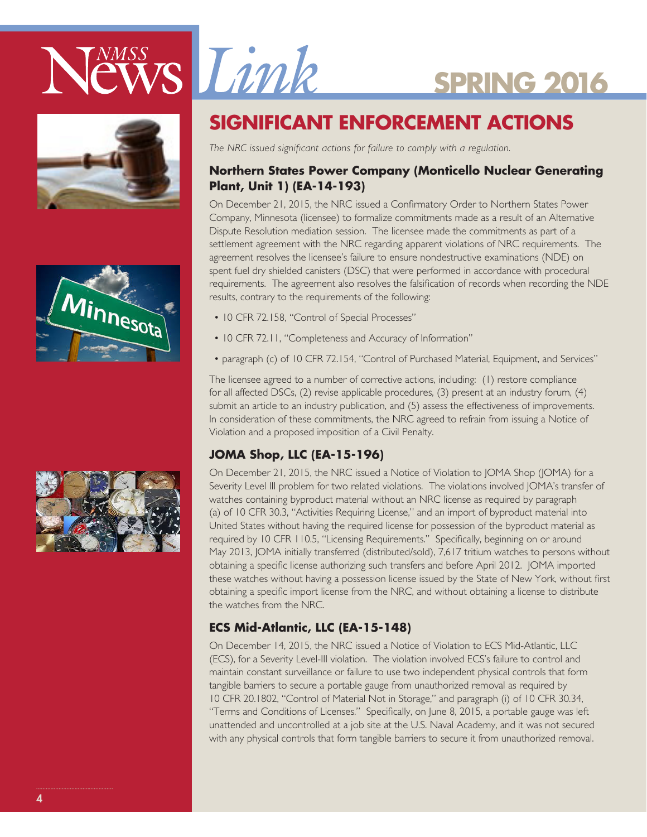





### **SIGNIFICANT ENFORCEMENT ACTIONS**

*The NRC issued significant actions for failure to comply with a regulation.*

### **Northern States Power Company (Monticello Nuclear Generating Plant, Unit 1) (EA-14-193)**

**SPRING 2016**

On December 21, 2015, the NRC issued a Confirmatory Order to Northern States Power Company, Minnesota (licensee) to formalize commitments made as a result of an Alternative Dispute Resolution mediation session. The licensee made the commitments as part of a settlement agreement with the NRC regarding apparent violations of NRC requirements. The agreement resolves the licensee's failure to ensure nondestructive examinations (NDE) on spent fuel dry shielded canisters (DSC) that were performed in accordance with procedural requirements. The agreement also resolves the falsification of records when recording the NDE results, contrary to the requirements of the following:

- 10 CFR 72.158, "Control of Special Processes"
- 10 CFR 72.11, "Completeness and Accuracy of Information"
- paragraph (c) of 10 CFR 72.154, "Control of Purchased Material, Equipment, and Services"

The licensee agreed to a number of corrective actions, including: (1) restore compliance for all affected DSCs, (2) revise applicable procedures, (3) present at an industry forum, (4) submit an article to an industry publication, and (5) assess the effectiveness of improvements. In consideration of these commitments, the NRC agreed to refrain from issuing a Notice of Violation and a proposed imposition of a Civil Penalty.

### **JOMA Shop, LLC (EA-15-196)**

On December 21, 2015, the NRC issued a Notice of Violation to JOMA Shop (JOMA) for a Severity Level III problem for two related violations. The violations involved JOMA's transfer of watches containing byproduct material without an NRC license as required by paragraph (a) of 10 CFR 30.3, "Activities Requiring License," and an import of byproduct material into United States without having the required license for possession of the byproduct material as required by 10 CFR 110.5, "Licensing Requirements." Specifically, beginning on or around May 2013, JOMA initially transferred (distributed/sold), 7,617 tritium watches to persons without obtaining a specific license authorizing such transfers and before April 2012. JOMA imported these watches without having a possession license issued by the State of New York, without first obtaining a specific import license from the NRC, and without obtaining a license to distribute the watches from the NRC.

### **ECS Mid-Atlantic, LLC (EA-15-148)**

On December 14, 2015, the NRC issued a Notice of Violation to ECS Mid-Atlantic, LLC (ECS), for a Severity Level-III violation. The violation involved ECS's failure to control and maintain constant surveillance or failure to use two independent physical controls that form tangible barriers to secure a portable gauge from unauthorized removal as required by 10 CFR 20.1802, "Control of Material Not in Storage," and paragraph (i) of 10 CFR 30.34, "Terms and Conditions of Licenses." Specifically, on June 8, 2015, a portable gauge was left unattended and uncontrolled at a job site at the U.S. Naval Academy, and it was not secured with any physical controls that form tangible barriers to secure it from unauthorized removal.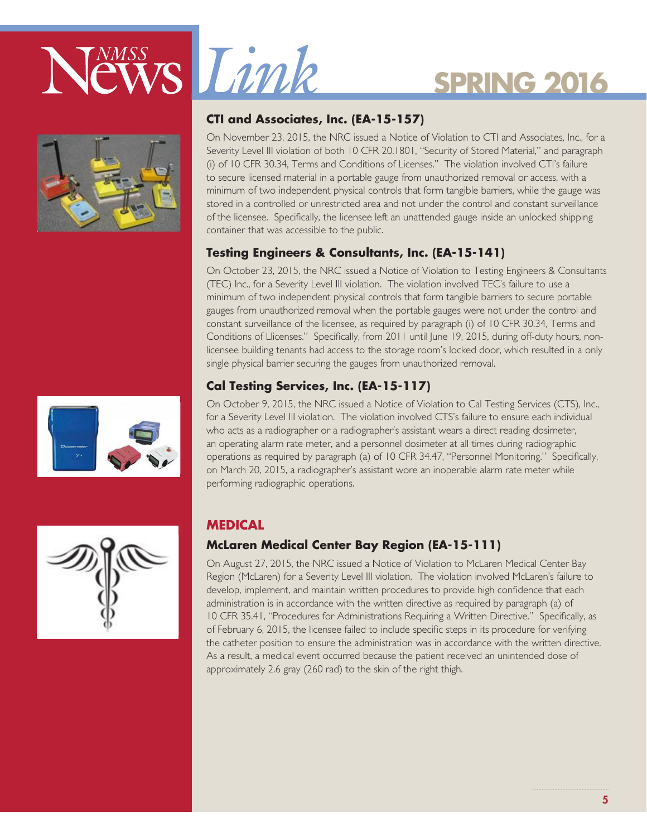



### **CTI and Associates, Inc. (EA-15-157)**

On November 23, 2015, the NRC issued a Notice of Violation to CTI and Associates, Inc., for a Severity Level III violation of both 10 CFR 20.1801, "Security of Stored Material," and paragraph (i) of 10 CFR 30.34, Terms and Conditions of Licenses." The violation involved CTI's failure to secure licensed material in a portable gauge from unauthorized removal or access, with a minimum of two independent physical controls that form tangible barriers, while the gauge was stored in a controlled or unrestricted area and not under the control and constant surveillance of the licensee. Specifically, the licensee left an unattended gauge inside an unlocked shipping container that was accessible to the public.

**SPRING 2016**

### **Testing Engineers & Consultants, Inc. (EA-15-141)**

On October 23, 2015, the NRC issued a Notice of Violation to Testing Engineers & Consultants (TEC) Inc., for a Severity Level III violation. The violation involved TEC's failure to use a minimum of two independent physical controls that form tangible barriers to secure portable gauges from unauthorized removal when the portable gauges were not under the control and constant surveillance of the licensee, as required by paragraph (i) of 10 CFR 30.34, Terms and Conditions of Llicenses." Specifically, from 2011 until June 19, 2015, during off-duty hours, nonlicensee building tenants had access to the storage room's locked door, which resulted in a only single physical barrier securing the gauges from unauthorized removal.

### **Cal Testing Services, Inc. (EA-15-117)**

On October 9, 2015, the NRC issued a Notice of Violation to Cal Testing Services (CTS), Inc., for a Severity Level III violation. The violation involved CTS's failure to ensure each individual who acts as a radiographer or a radiographer's assistant wears a direct reading dosimeter, an operating alarm rate meter, and a personnel dosimeter at all times during radiographic operations as required by paragraph (a) of 10 CFR 34.47, "Personnel Monitoring." Specifically, on March 20, 2015, a radiographer's assistant wore an inoperable alarm rate meter while performing radiographic operations.



### **McLaren Medical Center Bay Region (EA-15-111)**

On August 27, 2015, the NRC issued a Notice of Violation to McLaren Medical Center Bay Region (McLaren) for a Severity Level III violation. The violation involved McLaren's failure to develop, implement, and maintain written procedures to provide high confidence that each administration is in accordance with the written directive as required by paragraph (a) of 10 CFR 35.41, "Procedures for Administrations Requiring a Written Directive." Specifically, as of February 6, 2015, the licensee failed to include specific steps in its procedure for verifying the catheter position to ensure the administration was in accordance with the written directive. As a result, a medical event occurred because the patient received an unintended dose of approximately 2.6 gray (260 rad) to the skin of the right thigh.



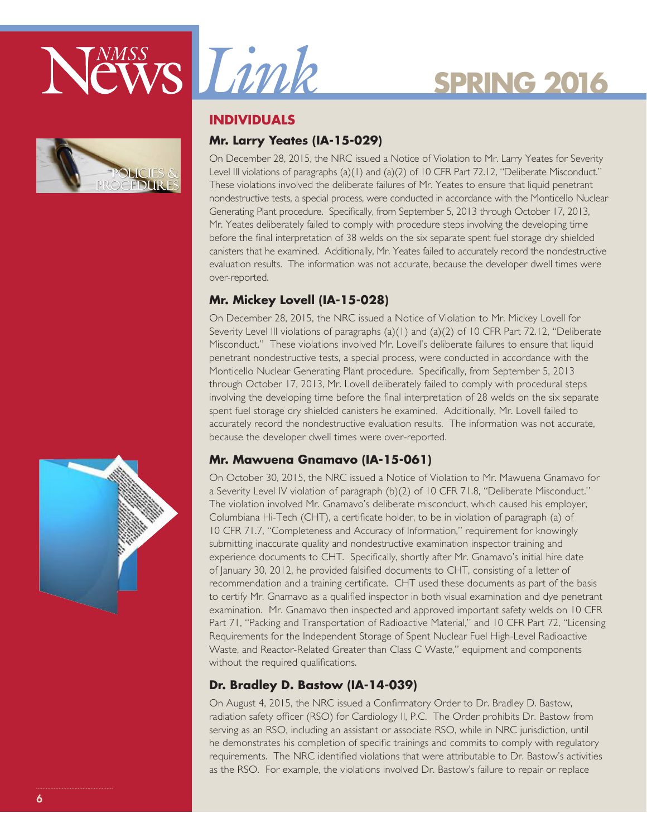



### **INDIVIDUALS**

### **Mr. Larry Yeates (IA-15-029)**

On December 28, 2015, the NRC issued a Notice of Violation to Mr. Larry Yeates for Severity Level III violations of paragraphs (a)(1) and (a)(2) of 10 CFR Part 72.12, "Deliberate Misconduct." These violations involved the deliberate failures of Mr. Yeates to ensure that liquid penetrant nondestructive tests, a special process, were conducted in accordance with the Monticello Nuclear Generating Plant procedure. Specifically, from September 5, 2013 through October 17, 2013, Mr. Yeates deliberately failed to comply with procedure steps involving the developing time before the final interpretation of 38 welds on the six separate spent fuel storage dry shielded canisters that he examined. Additionally, Mr. Yeates failed to accurately record the nondestructive evaluation results. The information was not accurate, because the developer dwell times were over-reported.

### **Mr. Mickey Lovell (IA-15-028)**

On December 28, 2015, the NRC issued a Notice of Violation to Mr. Mickey Lovell for Severity Level III violations of paragraphs (a)(1) and (a)(2) of 10 CFR Part 72.12, "Deliberate Misconduct." These violations involved Mr. Lovell's deliberate failures to ensure that liquid penetrant nondestructive tests, a special process, were conducted in accordance with the Monticello Nuclear Generating Plant procedure. Specifically, from September 5, 2013 through October 17, 2013, Mr. Lovell deliberately failed to comply with procedural steps involving the developing time before the final interpretation of 28 welds on the six separate spent fuel storage dry shielded canisters he examined. Additionally, Mr. Lovell failed to accurately record the nondestructive evaluation results. The information was not accurate, because the developer dwell times were over-reported.

### **Mr. Mawuena Gnamavo (IA-15-061)**

On October 30, 2015, the NRC issued a Notice of Violation to Mr. Mawuena Gnamavo for a Severity Level IV violation of paragraph (b)(2) of 10 CFR 71.8, "Deliberate Misconduct." The violation involved Mr. Gnamavo's deliberate misconduct, which caused his employer, Columbiana Hi-Tech (CHT), a certificate holder, to be in violation of paragraph (a) of 10 CFR 71.7, "Completeness and Accuracy of Information," requirement for knowingly submitting inaccurate quality and nondestructive examination inspector training and experience documents to CHT. Specifically, shortly after Mr. Gnamavo's initial hire date of January 30, 2012, he provided falsified documents to CHT, consisting of a letter of recommendation and a training certificate. CHT used these documents as part of the basis to certify Mr. Gnamavo as a qualified inspector in both visual examination and dye penetrant examination. Mr. Gnamavo then inspected and approved important safety welds on 10 CFR Part 71, "Packing and Transportation of Radioactive Material," and 10 CFR Part 72, "Licensing Requirements for the Independent Storage of Spent Nuclear Fuel High-Level Radioactive Waste, and Reactor-Related Greater than Class C Waste," equipment and components without the required qualifications.

### **Dr. Bradley D. Bastow (IA-14-039)**

On August 4, 2015, the NRC issued a Confirmatory Order to Dr. Bradley D. Bastow, radiation safety officer (RSO) for Cardiology II, P.C. The Order prohibits Dr. Bastow from serving as an RSO, including an assistant or associate RSO, while in NRC jurisdiction, until he demonstrates his completion of specific trainings and commits to comply with regulatory requirements. The NRC identified violations that were attributable to Dr. Bastow's activities as the RSO. For example, the violations involved Dr. Bastow's failure to repair or replace

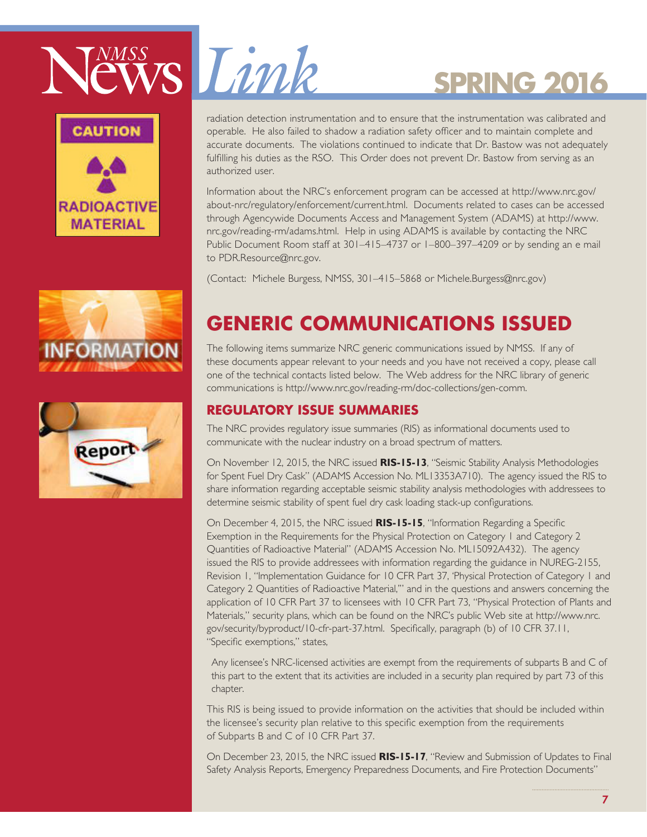







radiation detection instrumentation and to ensure that the instrumentation was calibrated and operable. He also failed to shadow a radiation safety officer and to maintain complete and accurate documents. The violations continued to indicate that Dr. Bastow was not adequately fulfilling his duties as the RSO. This Order does not prevent Dr. Bastow from serving as an authorized user.

**SPRING 2016**

Information about the NRC's enforcement program can be accessed at http://www.nrc.gov/ about-nrc/regulatory/enforcement/current.html. Documents related to cases can be accessed through Agencywide Documents Access and Management System (ADAMS) at http://www. nrc.gov/reading-rm/adams.html. Help in using ADAMS is available by contacting the NRC Public Document Room staff at 301–415–4737 or 1–800–397–4209 or by sending an e mail to PDR.Resource@nrc.gov.

(Contact: Michele Burgess, NMSS, 301–415–5868 or Michele.Burgess@nrc.gov)

### **GENERIC COMMUNICATIONS ISSUED**

The following items summarize NRC generic communications issued by NMSS. If any of these documents appear relevant to your needs and you have not received a copy, please call one of the technical contacts listed below. The Web address for the NRC library of generic communications is http://www.nrc.gov/reading-rm/doc-collections/gen-comm.

### **REGULATORY ISSUE SUMMARIES**

The NRC provides regulatory issue summaries (RIS) as informational documents used to communicate with the nuclear industry on a broad spectrum of matters.

On November 12, 2015, the NRC issued **RIS-15-13**, "Seismic Stability Analysis Methodologies for Spent Fuel Dry Cask" (ADAMS Accession No. ML13353A710). The agency issued the RIS to share information regarding acceptable seismic stability analysis methodologies with addressees to determine seismic stability of spent fuel dry cask loading stack-up configurations.

On December 4, 2015, the NRC issued **RIS-15-15**, "Information Regarding a Specific Exemption in the Requirements for the Physical Protection on Category 1 and Category 2 Quantities of Radioactive Material" (ADAMS Accession No. ML15092A432). The agency issued the RIS to provide addressees with information regarding the guidance in NUREG-2155, Revision 1, "Implementation Guidance for 10 CFR Part 37, 'Physical Protection of Category 1 and Category 2 Quantities of Radioactive Material,'" and in the questions and answers concerning the application of 10 CFR Part 37 to licensees with 10 CFR Part 73, "Physical Protection of Plants and Materials," security plans, which can be found on the NRC's public Web site at http://www.nrc. gov/security/byproduct/10-cfr-part-37.html. Specifically, paragraph (b) of 10 CFR 37.11, "Specific exemptions," states,

Any licensee's NRC-licensed activities are exempt from the requirements of subparts B and C of this part to the extent that its activities are included in a security plan required by part 73 of this chapter.

This RIS is being issued to provide information on the activities that should be included within the licensee's security plan relative to this specific exemption from the requirements of Subparts B and C of 10 CFR Part 37.

On December 23, 2015, the NRC issued **RIS-15-17**, "Review and Submission of Updates to Final Safety Analysis Reports, Emergency Preparedness Documents, and Fire Protection Documents"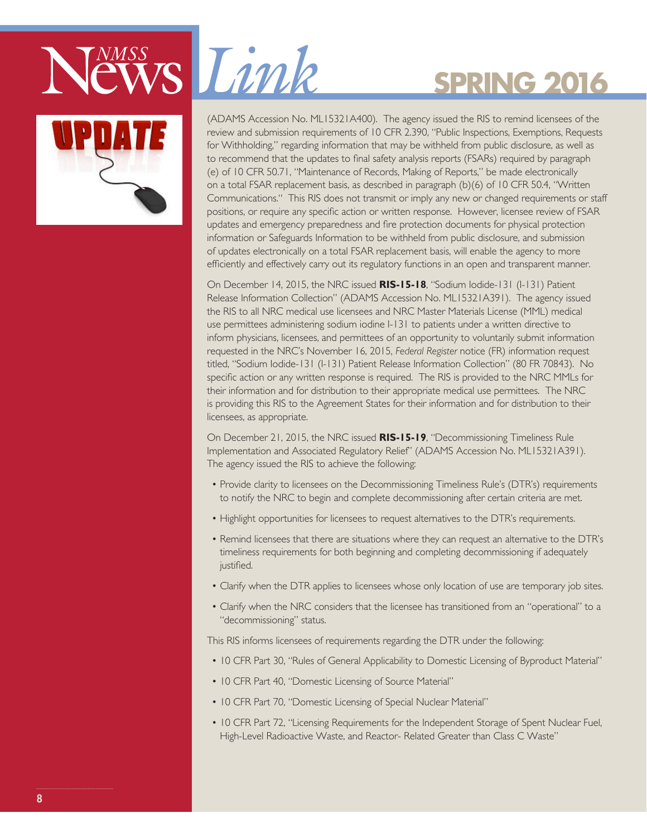

(ADAMS Accession No. ML15321A400). The agency issued the RIS to remind licensees of the review and submission requirements of 10 CFR 2.390, "Public Inspections, Exemptions, Requests for Withholding," regarding information that may be withheld from public disclosure, as well as to recommend that the updates to final safety analysis reports (FSARs) required by paragraph (e) of 10 CFR 50.71, "Maintenance of Records, Making of Reports," be made electronically on a total FSAR replacement basis, as described in paragraph (b)(6) of 10 CFR 50.4, "Written Communications." This RIS does not transmit or imply any new or changed requirements or staff positions, or require any specific action or written response. However, licensee review of FSAR updates and emergency preparedness and fire protection documents for physical protection information or Safeguards Information to be withheld from public disclosure, and submission of updates electronically on a total FSAR replacement basis, will enable the agency to more efficiently and effectively carry out its regulatory functions in an open and transparent manner.

On December 14, 2015, the NRC issued **RIS-15-18**, "Sodium Iodide-131 (I-131) Patient Release Information Collection" (ADAMS Accession No. ML15321A391). The agency issued the RIS to all NRC medical use licensees and NRC Master Materials License (MML) medical use permittees administering sodium iodine I-131 to patients under a written directive to inform physicians, licensees, and permittees of an opportunity to voluntarily submit information requested in the NRC's November 16, 2015, *Federal Register* notice (FR) information request titled, "Sodium Iodide-131 (I-131) Patient Release Information Collection" (80 FR 70843). No specific action or any written response is required. The RIS is provided to the NRC MMLs for their information and for distribution to their appropriate medical use permittees. The NRC is providing this RIS to the Agreement States for their information and for distribution to their licensees, as appropriate.

On December 21, 2015, the NRC issued **RIS-15-19**, "Decommissioning Timeliness Rule Implementation and Associated Regulatory Relief" (ADAMS Accession No. ML15321A391). The agency issued the RIS to achieve the following:

- Provide clarity to licensees on the Decommissioning Timeliness Rule's (DTR's) requirements to notify the NRC to begin and complete decommissioning after certain criteria are met.
- Highlight opportunities for licensees to request alternatives to the DTR's requirements.
- Remind licensees that there are situations where they can request an alternative to the DTR's timeliness requirements for both beginning and completing decommissioning if adequately justified.
- Clarify when the DTR applies to licensees whose only location of use are temporary job sites.
- Clarify when the NRC considers that the licensee has transitioned from an "operational" to a "decommissioning" status.

This RIS informs licensees of requirements regarding the DTR under the following:

- 10 CFR Part 30, "Rules of General Applicability to Domestic Licensing of Byproduct Material"
- 10 CFR Part 40, "Domestic Licensing of Source Material"
- 10 CFR Part 70, "Domestic Licensing of Special Nuclear Material"
- 10 CFR Part 72, "Licensing Requirements for the Independent Storage of Spent Nuclear Fuel, High-Level Radioactive Waste, and Reactor- Related Greater than Class C Waste"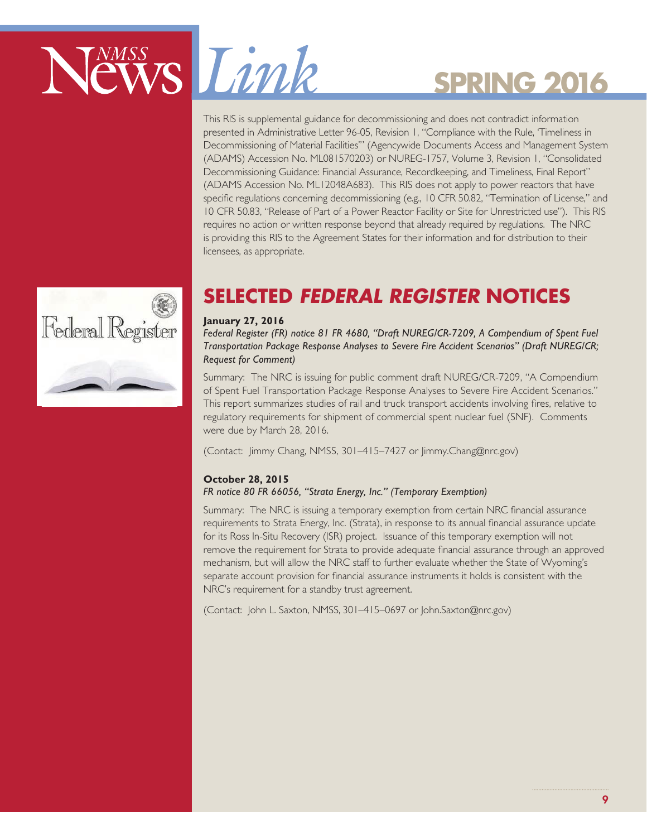

This RIS is supplemental guidance for decommissioning and does not contradict information presented in Administrative Letter 96-05, Revision 1, "Compliance with the Rule, 'Timeliness in Decommissioning of Material Facilities'" (Agencywide Documents Access and Management System (ADAMS) Accession No. ML081570203) or NUREG-1757, Volume 3, Revision 1, "Consolidated Decommissioning Guidance: Financial Assurance, Recordkeeping, and Timeliness, Final Report" (ADAMS Accession No. ML12048A683). This RIS does not apply to power reactors that have specific regulations concerning decommissioning (e.g., 10 CFR 50.82, "Termination of License," and 10 CFR 50.83, "Release of Part of a Power Reactor Facility or Site for Unrestricted use"). This RIS requires no action or written response beyond that already required by regulations. The NRC is providing this RIS to the Agreement States for their information and for distribution to their licensees, as appropriate.



### **SELECTED** *FEDERAL REGISTER* **NOTICES**

#### **January 27, 2016**

*Federal Register (FR) notice 81 FR 4680, "Draft NUREG/CR-7209, A Compendium of Spent Fuel Transportation Package Response Analyses to Severe Fire Accident Scenarios" (Draft NUREG/CR; Request for Comment)* 

Summary: The NRC is issuing for public comment draft NUREG/CR-7209, "A Compendium of Spent Fuel Transportation Package Response Analyses to Severe Fire Accident Scenarios." This report summarizes studies of rail and truck transport accidents involving fires, relative to regulatory requirements for shipment of commercial spent nuclear fuel (SNF). Comments were due by March 28, 2016.

(Contact: Jimmy Chang, NMSS, 301–415–7427 or Jimmy.Chang@nrc.gov)

#### **October 28, 2015**  *FR notice 80 FR 66056, "Strata Energy, Inc." (Temporary Exemption)*

Summary: The NRC is issuing a temporary exemption from certain NRC financial assurance requirements to Strata Energy, Inc. (Strata), in response to its annual financial assurance update for its Ross In-Situ Recovery (ISR) project. Issuance of this temporary exemption will not remove the requirement for Strata to provide adequate financial assurance through an approved mechanism, but will allow the NRC staff to further evaluate whether the State of Wyoming's separate account provision for financial assurance instruments it holds is consistent with the NRC's requirement for a standby trust agreement.

(Contact: John L. Saxton, NMSS, 301–415–0697 or John.Saxton@nrc.gov)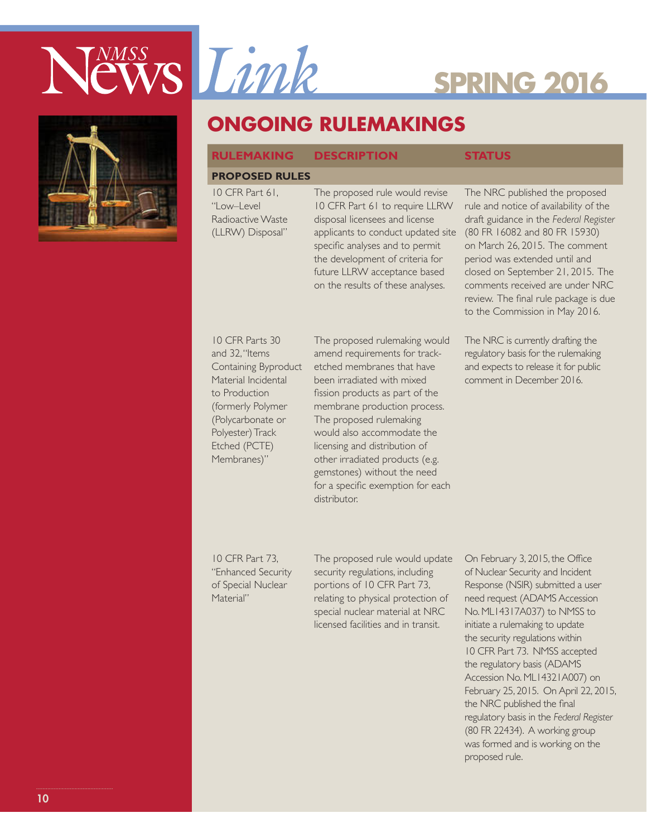

### **ONGOING RULEMAKINGS**

#### **RULEMAKING DESCRIPTION STATUS**

#### **PROPOSED RULES**

10 CFR Part 61, "Low–Level Radioactive Waste (LLRW) Disposal"

The proposed rule would revise 10 CFR Part 61 to require LLRW disposal licensees and license applicants to conduct updated site specific analyses and to permit the development of criteria for future LLRW acceptance based on the results of these analyses.

The NRC published the proposed rule and notice of availability of the draft guidance in the *Federal Register* (80 FR 16082 and 80 FR 15930) on March 26, 2015. The comment period was extended until and closed on September 21, 2015. The comments received are under NRC review. The final rule package is due to the Commission in May 2016.

10 CFR Parts 30 and 32, "Items Containing Byproduct Material Incidental to Production (formerly Polymer (Polycarbonate or Polyester) Track Etched (PCTE) Membranes)"

The proposed rulemaking would amend requirements for tracketched membranes that have been irradiated with mixed fission products as part of the membrane production process. The proposed rulemaking would also accommodate the licensing and distribution of other irradiated products (e.g. gemstones) without the need for a specific exemption for each distributor.

The NRC is currently drafting the regulatory basis for the rulemaking and expects to release it for public comment in December 2016.

10 CFR Part 73, "Enhanced Security of Special Nuclear Material"

The proposed rule would update security regulations, including portions of 10 CFR Part 73, relating to physical protection of special nuclear material at NRC licensed facilities and in transit.

On February 3, 2015, the Office of Nuclear Security and Incident Response (NSIR) submitted a user need request (ADAMS Accession No. ML14317A037) to NMSS to initiate a rulemaking to update the security regulations within 10 CFR Part 73. NMSS accepted the regulatory basis (ADAMS Accession No. ML14321A007) on February 25, 2015. On April 22, 2015, the NRC published the final regulatory basis in the *Federal Register* (80 FR 22434). A working group was formed and is working on the proposed rule.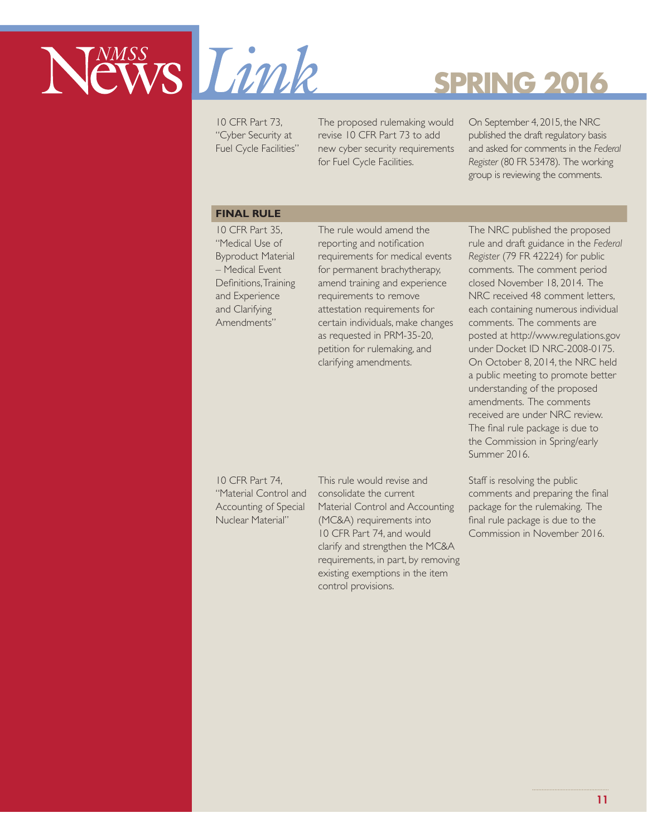



10 CFR Part 73, "Cyber Security at Fuel Cycle Facilities" The proposed rulemaking would revise 10 CFR Part 73 to add new cyber security requirements for Fuel Cycle Facilities.

On September 4, 2015, the NRC published the draft regulatory basis and asked for comments in the *Federal Register* (80 FR 53478). The working group is reviewing the comments.

#### **FINAL RULE**

10 CFR Part 35, "Medical Use of Byproduct Material – Medical Event Definitions, Training and Experience and Clarifying Amendments"

The rule would amend the reporting and notification requirements for medical events for permanent brachytherapy, amend training and experience requirements to remove attestation requirements for certain individuals, make changes as requested in PRM-35-20, petition for rulemaking, and clarifying amendments.

The NRC published the proposed rule and draft guidance in the *Federal Register* (79 FR 42224) for public comments. The comment period closed November 18, 2014. The NRC received 48 comment letters, each containing numerous individual comments. The comments are posted at http://www.regulations.gov under Docket ID NRC-2008-0175. On October 8, 2014, the NRC held a public meeting to promote better understanding of the proposed amendments. The comments received are under NRC review. The final rule package is due to the Commission in Spring/early Summer 2016.

10 CFR Part 74, "Material Control and Accounting of Special Nuclear Material"

This rule would revise and consolidate the current Material Control and Accounting (MC&A) requirements into 10 CFR Part 74, and would clarify and strengthen the MC&A requirements, in part, by removing existing exemptions in the item control provisions.

Staff is resolving the public comments and preparing the final package for the rulemaking. The final rule package is due to the Commission in November 2016.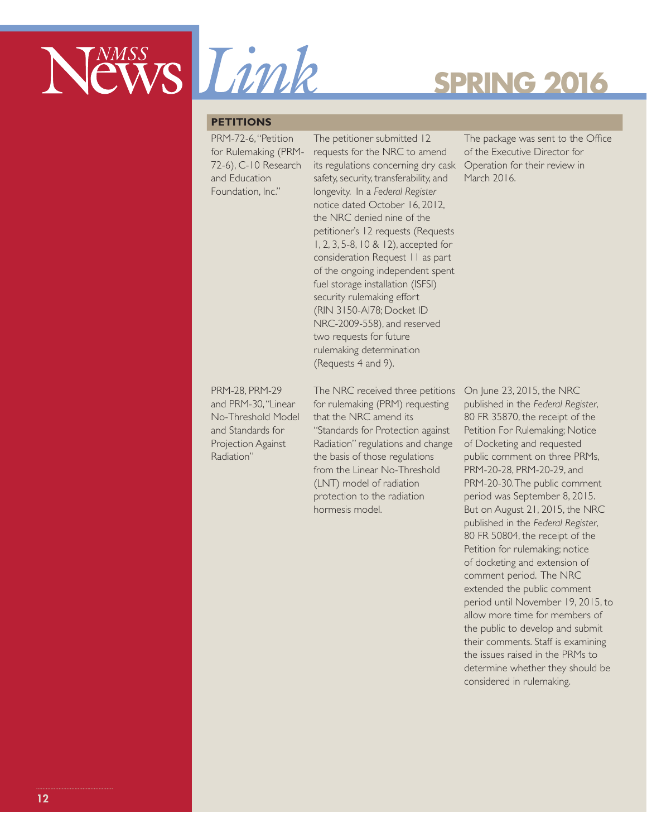

#### **PETITIONS**

PRM-72-6, "Petition for Rulemaking (PRM-72-6), C-10 Research and Education Foundation, Inc."

The petitioner submitted 12 requests for the NRC to amend its regulations concerning dry cask safety, security, transferability, and longevity. In a *Federal Register* notice dated October 16, 2012, the NRC denied nine of the petitioner's 12 requests (Requests 1, 2, 3, 5-8, 10 & 12), accepted for consideration Request 11 as part of the ongoing independent spent fuel storage installation (ISFSI) security rulemaking effort (RIN 3150-AI78; Docket ID NRC-2009-558), and reserved two requests for future rulemaking determination (Requests 4 and 9).

The package was sent to the Office of the Executive Director for Operation for their review in March 2016.

PRM-28, PRM-29 and PRM-30, "Linear No-Threshold Model and Standards for Projection Against Radiation"

The NRC received three petitions for rulemaking (PRM) requesting that the NRC amend its "Standards for Protection against Radiation" regulations and change the basis of those regulations from the Linear No-Threshold (LNT) model of radiation protection to the radiation hormesis model.

On June 23, 2015, the NRC published in the *Federal Register*, 80 FR 35870, the receipt of the Petition For Rulemaking; Notice of Docketing and requested public comment on three PRMs, PRM-20-28, PRM-20-29, and PRM-20-30. The public comment period was September 8, 2015. But on August 21, 2015, the NRC published in the *Federal Register*, 80 FR 50804, the receipt of the Petition for rulemaking; notice of docketing and extension of comment period. The NRC extended the public comment period until November 19, 2015, to allow more time for members of the public to develop and submit their comments. Staff is examining the issues raised in the PRMs to determine whether they should be considered in rulemaking.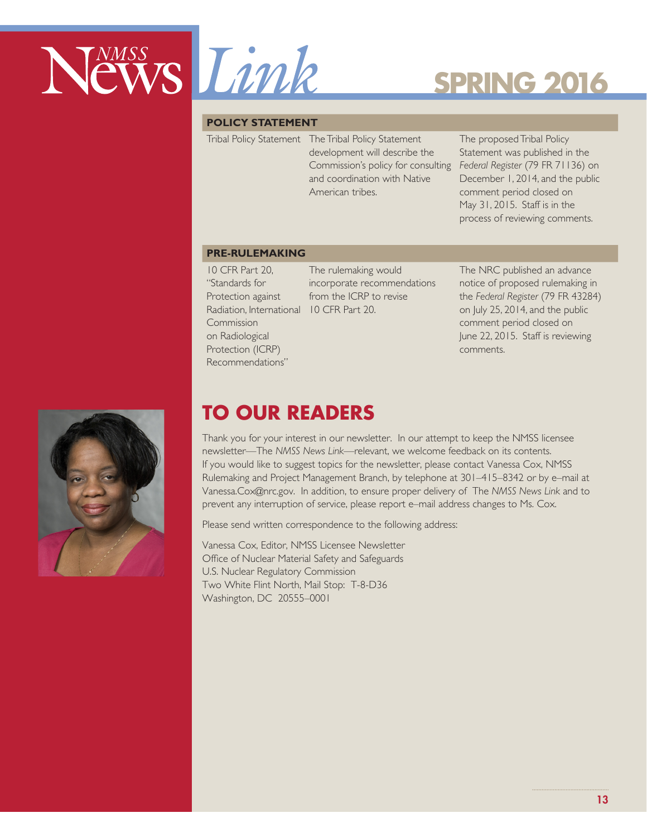

#### **POLICY STATEMENT**

Tribal Policy Statement The Tribal Policy Statement development will describe the Commission's policy for consulting *Federal Register* (79 FR 71136) on and coordination with Native American tribes.

The proposed Tribal Policy Statement was published in the December 1, 2014, and the public comment period closed on May 31, 2015. Staff is in the process of reviewing comments.

#### **PRE-RULEMAKING**

10 CFR Part 20, "Standards for Protection against Radiation, International 10 CFR Part 20. Commission on Radiological Protection (ICRP) Recommendations"

The rulemaking would incorporate recommendations from the ICRP to revise

The NRC published an advance notice of proposed rulemaking in the *Federal Register* (79 FR 43284) on July 25, 2014, and the public comment period closed on June 22, 2015. Staff is reviewing comments.



### **TO OUR READERS**

Thank you for your interest in our newsletter. In our attempt to keep the NMSS licensee newsletter—The *NMSS News Link*—relevant, we welcome feedback on its contents. If you would like to suggest topics for the newsletter, please contact Vanessa Cox, NMSS Rulemaking and Project Management Branch, by telephone at 301–415–8342 or by e–mail at Vanessa.Cox@nrc.gov. In addition, to ensure proper delivery of The *NMSS News Link* and to prevent any interruption of service, please report e–mail address changes to Ms. Cox.

Please send written correspondence to the following address:

Vanessa Cox, Editor, NMSS Licensee Newsletter Office of Nuclear Material Safety and Safeguards U.S. Nuclear Regulatory Commission Two White Flint North, Mail Stop: T-8-D36 Washington, DC 20555–0001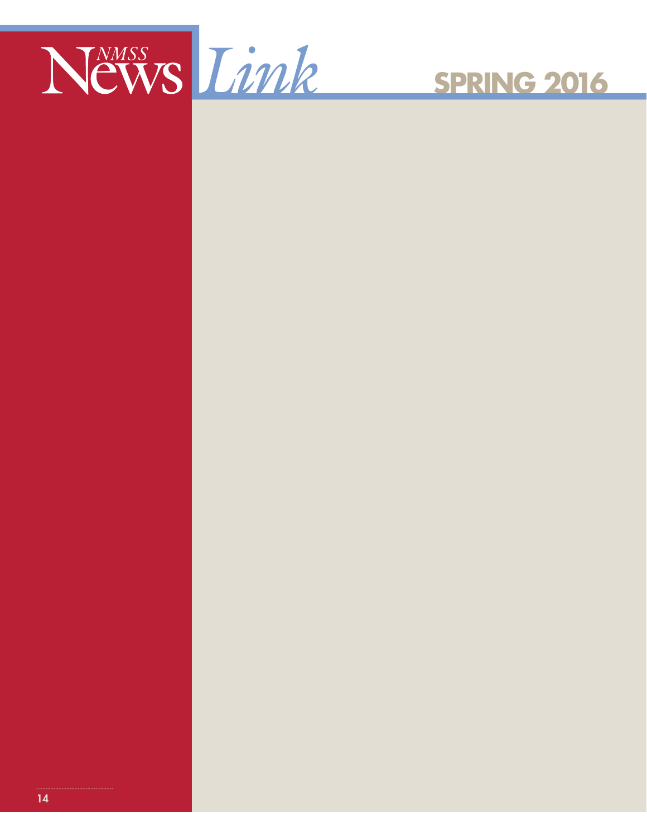



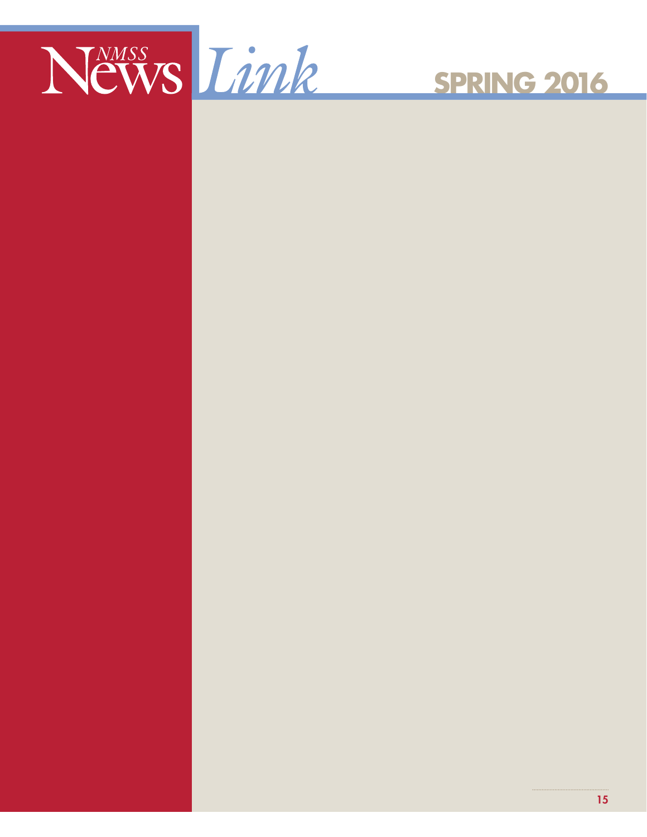





15